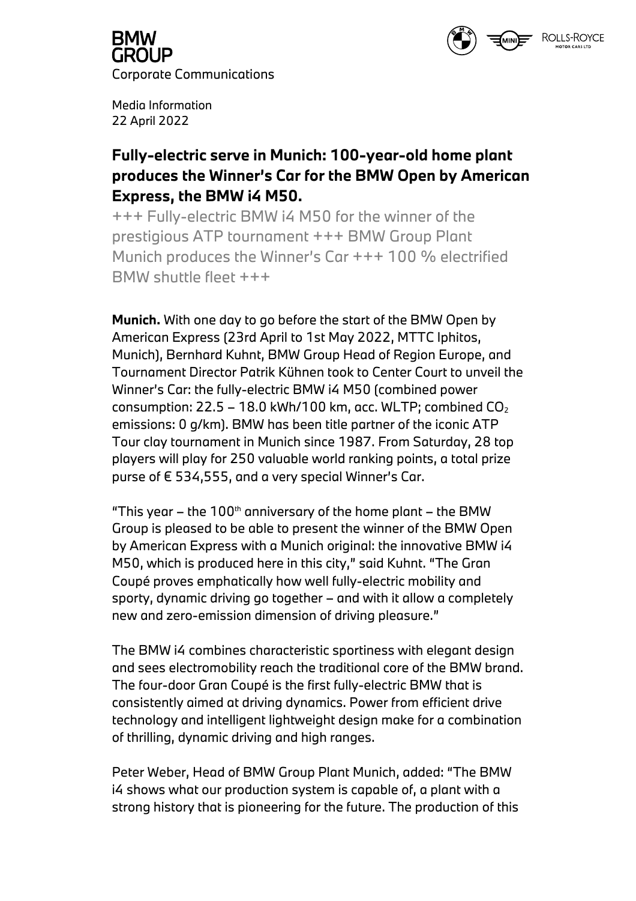

**GROUP** Corporate Communications

Media Information 22 April 2022

### **Fully-electric serve in Munich: 100-year-old home plant produces the Winner's Car for the BMW Open by American Express, the BMW i4 M50.**

+++ Fully-electric BMW i4 M50 for the winner of the prestigious ATP tournament +++ BMW Group Plant Munich produces the Winner's Car +++ 100 % electrified BMW shuttle fleet +++

**Munich.** With one day to go before the start of the BMW Open by American Express (23rd April to 1st May 2022, MTTC Iphitos, Munich), Bernhard Kuhnt, BMW Group Head of Region Europe, and Tournament Director Patrik Kühnen took to Center Court to unveil the Winner's Car: the fully-electric BMW i4 M50 (combined power consumption:  $22.5 - 18.0$  kWh/100 km, acc. WLTP; combined  $CO<sub>2</sub>$ emissions: 0 g/km). BMW has been title partner of the iconic ATP Tour clay tournament in Munich since 1987. From Saturday, 28 top players will play for 250 valuable world ranking points, a total prize purse of € 534,555, and a very special Winner's Car.

"This year – the 100<sup>th</sup> anniversary of the home plant – the BMW Group is pleased to be able to present the winner of the BMW Open by American Express with a Munich original: the innovative BMW i4 M50, which is produced here in this city," said Kuhnt. "The Gran Coupé proves emphatically how well fully-electric mobility and sporty, dynamic driving go together – and with it allow a completely new and zero-emission dimension of driving pleasure."

The BMW i4 combines characteristic sportiness with elegant design and sees electromobility reach the traditional core of the BMW brand. The four-door Gran Coupé is the first fully-electric BMW that is consistently aimed at driving dynamics. Power from efficient drive technology and intelligent lightweight design make for a combination of thrilling, dynamic driving and high ranges.

Peter Weber, Head of BMW Group Plant Munich, added: "The BMW i4 shows what our production system is capable of, a plant with a strong history that is pioneering for the future. The production of this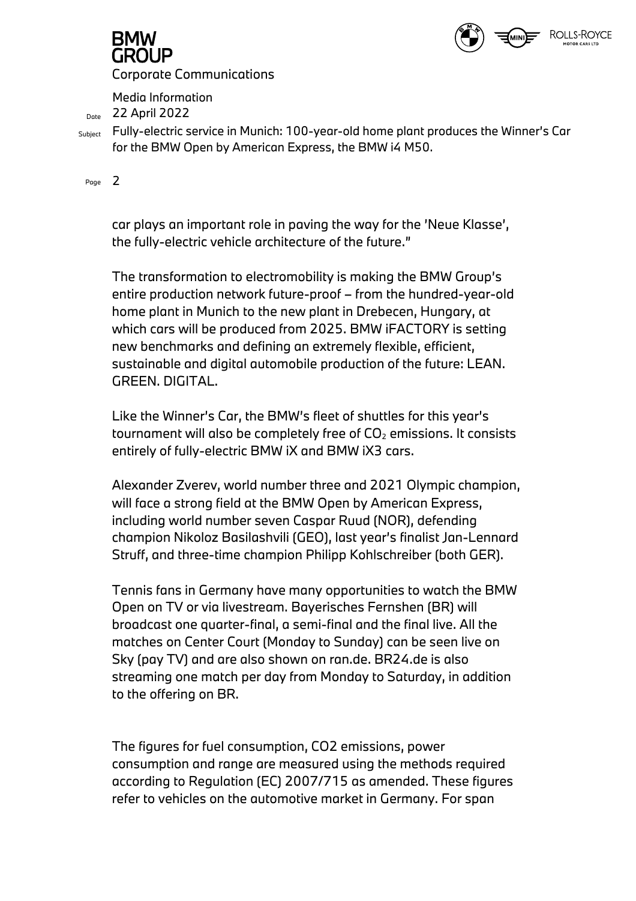

# GROUP

Corporate Communications

Media Information

Date 22 April 2022

Subject Fully-electric service in Munich: 100-year-old home plant produces the Winner's Car for the BMW Open by American Express, the BMW i4 M50.

Page 2

car plays an important role in paving the way for the 'Neue Klasse', the fully-electric vehicle architecture of the future."

The transformation to electromobility is making the BMW Group's entire production network future-proof – from the hundred-year-old home plant in Munich to the new plant in Drebecen, Hungary, at which cars will be produced from 2025. BMW iFACTORY is setting new benchmarks and defining an extremely flexible, efficient, sustainable and digital automobile production of the future: LEAN. GREEN. DIGITAL.

Like the Winner's Car, the BMW's fleet of shuttles for this year's tournament will also be completely free of  $CO<sub>2</sub>$  emissions. It consists entirely of fully-electric BMW iX and BMW iX3 cars.

Alexander Zverev, world number three and 2021 Olympic champion, will face a strong field at the BMW Open by American Express, including world number seven Caspar Ruud (NOR), defending champion Nikoloz Basilashvili (GEO), last year's finalist Jan-Lennard Struff, and three-time champion Philipp Kohlschreiber (both GER).

Tennis fans in Germany have many opportunities to watch the BMW Open on TV or via livestream. Bayerisches Fernshen (BR) will broadcast one quarter-final, a semi-final and the final live. All the matches on Center Court (Monday to Sunday) can be seen live on Sky (pay TV) and are also shown on ran.de. BR24.de is also streaming one match per day from Monday to Saturday, in addition to the offering on BR.

The figures for fuel consumption, CO2 emissions, power consumption and range are measured using the methods required according to Regulation (EC) 2007/715 as amended. These figures refer to vehicles on the automotive market in Germany. For span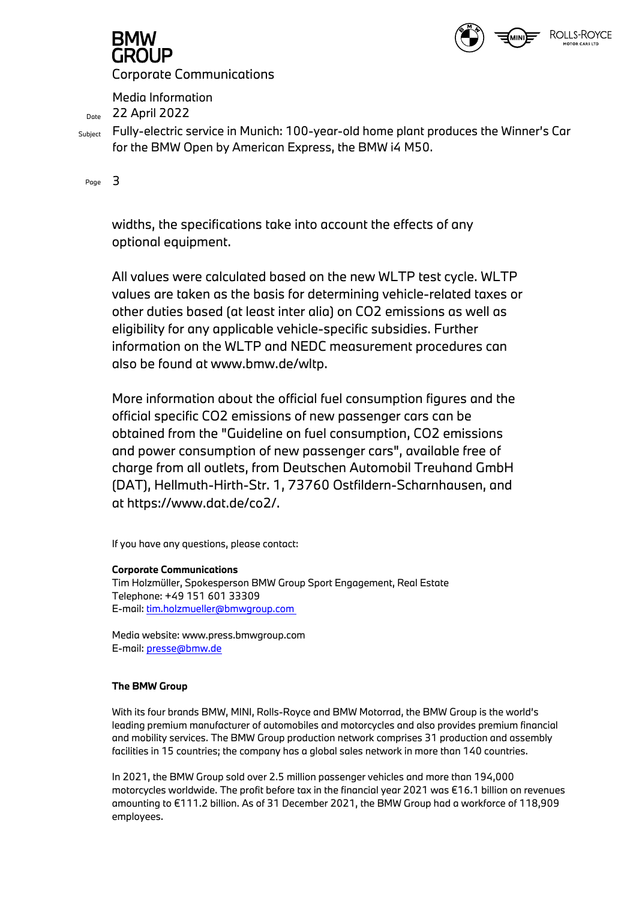

# GROUP

Corporate Communications

Media Information

Data 22 April 2022

Subject Fully-electric service in Munich: 100-year-old home plant produces the Winner's Car for the BMW Open by American Express, the BMW i4 M50.

Page 3

widths, the specifications take into account the effects of any optional equipment.

All values were calculated based on the new WLTP test cycle. WLTP values are taken as the basis for determining vehicle-related taxes or other duties based (at least inter alia) on CO2 emissions as well as eligibility for any applicable vehicle-specific subsidies. Further information on the WLTP and NEDC measurement procedures can also be found at www.bmw.de/wltp.

More information about the official fuel consumption figures and the official specific CO2 emissions of new passenger cars can be obtained from the "Guideline on fuel consumption, CO2 emissions and power consumption of new passenger cars", available free of charge from all outlets, from Deutschen Automobil Treuhand GmbH (DAT), Hellmuth-Hirth-Str. 1, 73760 Ostfildern-Scharnhausen, and at https://www.dat.de/co2/.

If you have any questions, please contact:

#### **Corporate Communications**

Tim Holzmüller, Spokesperson BMW Group Sport Engagement, Real Estate Telephone: +49 151 601 33309 E-mail: tim.holzmueller@bmwgroup.com

Media website: www.press.bmwgroup.com E-mail: presse@bmw.de

#### **The BMW Group**

With its four brands BMW, MINI, Rolls-Royce and BMW Motorrad, the BMW Group is the world's leading premium manufacturer of automobiles and motorcycles and also provides premium financial and mobility services. The BMW Group production network comprises 31 production and assembly facilities in 15 countries; the company has a global sales network in more than 140 countries.

In 2021, the BMW Group sold over 2.5 million passenger vehicles and more than 194,000 motorcycles worldwide. The profit before tax in the financial year 2021 was €16.1 billion on revenues amounting to €111.2 billion. As of 31 December 2021, the BMW Group had a workforce of 118,909 employees.